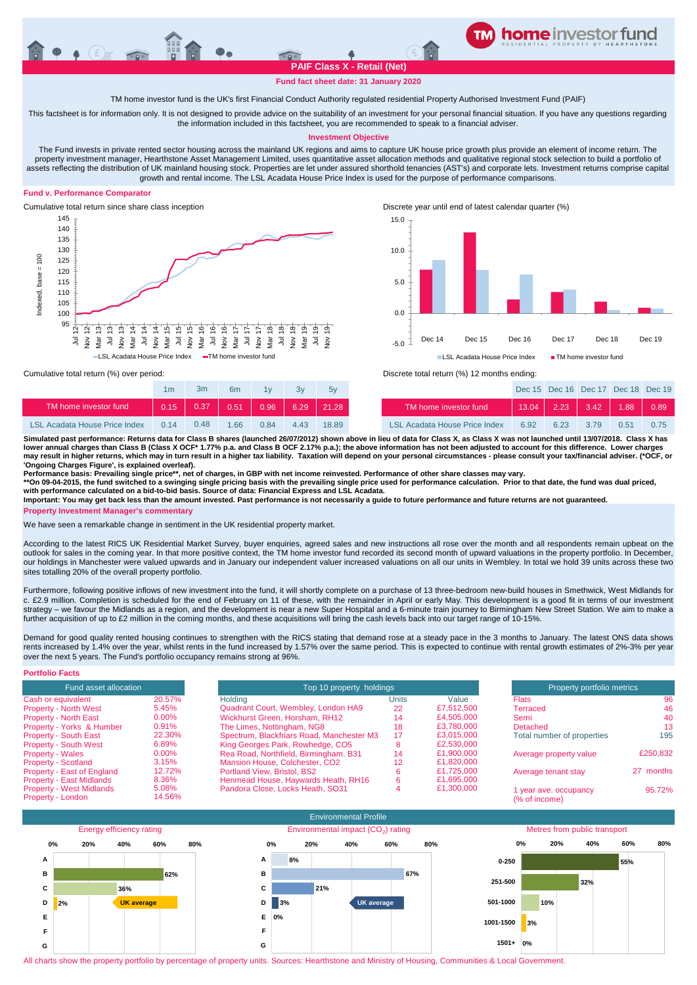**Fund fact sheet date: 31 January 2020**

TM home investor fund is the UK's first Financial Conduct Authority regulated residential Property Authorised Investment Fund (PAIF)

This factsheet is for information only. It is not designed to provide advice on the suitability of an investment for your personal financial situation. If you have any questions regarding the information included in this factsheet, you are recommended to speak to a financial adviser.

## **Investment Objective**

The Fund invests in private rented sector housing across the mainland UK regions and aims to capture UK house price growth plus provide an element of income return. The property investment manager, Hearthstone Asset Management Limited, uses quantitative asset allocation methods and qualitative regional stock selection to build a portfolio of assets reflecting the distribution of UK mainland housing stock. Properties are let under assured shorthold tenancies (AST's) and corporate lets. Investment returns comprise capital growth and rental income. The LSL Acadata House Price Index is used for the purpose of performance comparisons.

## **Fund v. Performance Comparator**





Cumulative total return since share class inception Discrete year until end of latest calendar quarter (%)



Cumulative total return (%) over period: Discrete total return (%) 12 months ending:

|                                      | 1m   | 3m   | 6m   | 1v   | 3v   | 5v                |                                      |       | Dec 15 Dec 16 Dec 17 Dec 18 Dec 19 |      |       |      |
|--------------------------------------|------|------|------|------|------|-------------------|--------------------------------------|-------|------------------------------------|------|-------|------|
| TM home investor fund                | 0.15 | 0.37 | 0.51 | 0.96 | 6.29 | $\parallel$ 21.28 | TM home investor fund                | 13.04 | 2.23                               | 3.42 | 1.88. | 0.89 |
| <b>LSL Acadata House Price Index</b> | 0,14 | 0.48 | 166  | 0.84 | 4.43 | 18.89             | <b>LSL Acadata House Price Index</b> | 6.92  | 6.23                               | 3.79 | 0.51  | 0.75 |

**Simulated past performance: Returns data for Class B shares (launched 26/07/2012) shown above in lieu of data for Class X, as Class X was not launched until 13/07/2018. Class X has lower annual charges than Class B (Class X OCF\* 1.77% p.a. and Class B OCF 2.17% p.a.); the above information has not been adjusted to account for this difference. Lower charges may result in higher returns, which may in turn result in a higher tax liability. Taxation will depend on your personal circumstances - please consult your tax/financial adviser. (\*OCF, or 'Ongoing Charges Figure', is explained overleaf).**

**Performance basis: Prevailing single price\*\*, net of charges, in GBP with net income reinvested. Performance of other share classes may vary.**

**\*\*On 09-04-2015, the fund switched to a swinging single pricing basis with the prevailing single price used for performance calculation. Prior to that date, the fund was dual priced, with performance calculated on a bid-to-bid basis. Source of data: Financial Express and LSL Acadata.**

**Important: You may get back less than the amount invested. Past performance is not necessarily a guide to future performance and future returns are not guaranteed.**

**Property Investment Manager's commentary**

We have seen a remarkable change in sentiment in the UK residential property market.

According to the latest RICS UK Residential Market Survey, buyer enquiries, agreed sales and new instructions all rose over the month and all respondents remain upbeat on the outlook for sales in the coming year. In that more positive context, the TM home investor fund recorded its second month of upward valuations in the property portfolio. In December, our holdings in Manchester were valued upwards and in January our independent valuer increased valuations on all our units in Wembley. In total we hold 39 units across these two sites totalling 20% of the overall property portfolio.

Furthermore, following positive inflows of new investment into the fund, it will shortly complete on a purchase of 13 three-bedroom new-build houses in Smethwick, West Midlands for c. £2.9 million. Completion is scheduled for the end of February on 11 of these, with the remainder in April or early May. This development is a good fit in terms of our investment strategy – we favour the Midlands as a region, and the development is near a new Super Hospital and a 6-minute train journey to Birmingham New Street Station. We aim to make a further acquisition of up to £2 million in the coming months, and these acquisitions will bring the cash levels back into our target range of 10-15%.

Demand for good quality rented housing continues to strengthen with the RICS stating that demand rose at a steady pace in the 3 months to January. The latest ONS data shows rents increased by 1.4% over the year, whilst rents in the fund increased by 1.57% over the same period. This is expected to continue with rental growth estimates of 2%-3% per year over the next 5 years. The Fund's portfolio occupancy remains strong at 96%.

| <b>Portfolio Facts</b>          |          |                                           |                            |            |                            |           |
|---------------------------------|----------|-------------------------------------------|----------------------------|------------|----------------------------|-----------|
| Fund asset allocation           |          | Top 10 property holdings                  | Property portfolio metrics |            |                            |           |
| Cash or equivalent              | 20.57%   | Holdina                                   | Units                      | Value      | <b>Flats</b>               | 96        |
| <b>Property - North West</b>    | 5.45%    | Quadrant Court, Wembley, London HA9       | 22                         | £7,512,500 | Terraced                   | 46        |
| <b>Property - North East</b>    | $0.00\%$ | Wickhurst Green, Horsham, RH12            | 14                         | £4.505.000 | Semi                       | 40        |
| Property - Yorks & Humber       | 0.91%    | The Limes, Nottingham, NG8                | 18                         | £3.780.000 | Detached                   | 13        |
| Property - South East           | 22.30%   | Spectrum, Blackfriars Road, Manchester M3 | 17                         | £3.015.000 | Total number of properties | 195       |
| <b>Property - South West</b>    | 6.89%    | King Georges Park, Rowhedge, CO5          |                            | £2,530,000 |                            |           |
| <b>Property - Wales</b>         | $0.00\%$ | Rea Road, Northfield, Birmingham. B31     | 14                         | £1.900.000 | Average property value     | £250.832  |
| <b>Property - Scotland</b>      | 3.15%    | Mansion House, Colchester, CO2            | 12                         | £1,820,000 |                            |           |
| Property - East of England      | 12.72%   | Portland View, Bristol, BS2               |                            | £1.725.000 | Average tenant stay        | 27 months |
| <b>Property - East Midlands</b> | 8.36%    | Henmead House, Haywards Heath, RH16       |                            | £1.695.000 |                            |           |
| <b>Property - West Midlands</b> | 5.08%    | Pandora Close, Locks Heath, SO31          |                            | £1,300,000 | 1 year ave. occupancy      | 95.72%    |
| Property - London               | 14.56%   |                                           |                            |            | (% of income)              |           |



All charts show the property portfolio by percentage of property units. Sources: Hearthstone and Ministry of Housing, Communities & Local Government.